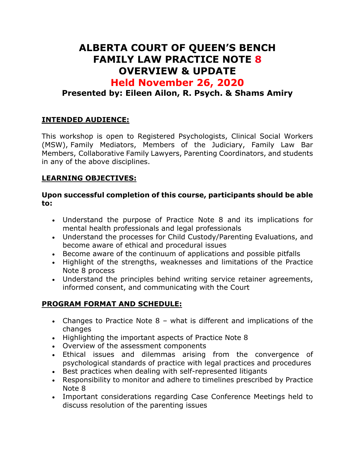# **ALBERTA COURT OF QUEEN'S BENCH FAMILY LAW PRACTICE NOTE 8 OVERVIEW & UPDATE**

# **Held November 26, 2020**

## **Presented by: Eileen Ailon, R. Psych. & Shams Amiry**

### **INTENDED AUDIENCE:**

This workshop is open to Registered Psychologists, Clinical Social Workers (MSW), Family Mediators, Members of the Judiciary, Family Law Bar Members, Collaborative Family Lawyers, Parenting Coordinators, and students in any of the above disciplines.

#### **LEARNING OBJECTIVES:**

#### **Upon successful completion of this course, participants should be able to:**

- Understand the purpose of Practice Note 8 and its implications for mental health professionals and legal professionals
- Understand the processes for Child Custody/Parenting Evaluations, and become aware of ethical and procedural issues
- Become aware of the continuum of applications and possible pitfalls
- Highlight of the strengths, weaknesses and limitations of the Practice Note 8 process
- Understand the principles behind writing service retainer agreements, informed consent, and communicating with the Court

### **PROGRAM FORMAT AND SCHEDULE:**

- Changes to Practice Note 8 what is different and implications of the changes
- Highlighting the important aspects of Practice Note 8
- Overview of the assessment components
- Ethical issues and dilemmas arising from the convergence of psychological standards of practice with legal practices and procedures
- Best practices when dealing with self-represented litigants
- Responsibility to monitor and adhere to timelines prescribed by Practice Note 8
- Important considerations regarding Case Conference Meetings held to discuss resolution of the parenting issues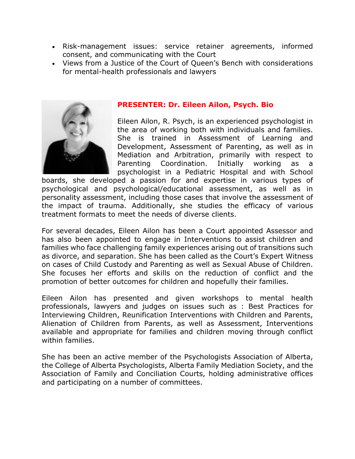- Risk-management issues: service retainer agreements, informed consent, and communicating with the Court
- Views from a Justice of the Court of Queen's Bench with considerations for mental-health professionals and lawyers



#### **PRESENTER: Dr. Eileen Ailon, Psych. Bio**

Eileen Ailon, R. Psych, is an experienced psychologist in the area of working both with individuals and families. She is trained in Assessment of Learning and Development, Assessment of Parenting, as well as in Mediation and Arbitration, primarily with respect to Parenting Coordination. Initially working as a psychologist in a Pediatric Hospital and with School

boards, she developed a passion for and expertise in various types of psychological and psychological/educational assessment, as well as in personality assessment, including those cases that involve the assessment of the impact of trauma. Additionally, she studies the efficacy of various treatment formats to meet the needs of diverse clients.

For several decades, Eileen Ailon has been a Court appointed Assessor and has also been appointed to engage in Interventions to assist children and families who face challenging family experiences arising out of transitions such as divorce, and separation. She has been called as the Court's Expert Witness on cases of Child Custody and Parenting as well as Sexual Abuse of Children. She focuses her efforts and skills on the reduction of conflict and the promotion of better outcomes for children and hopefully their families.

Eileen Ailon has presented and given workshops to mental health professionals, lawyers and judges on issues such as : Best Practices for Interviewing Children, Reunification Interventions with Children and Parents, Alienation of Children from Parents, as well as Assessment, Interventions available and appropriate for families and children moving through conflict within families.

She has been an active member of the Psychologists Association of Alberta, the College of Alberta Psychologists, Alberta Family Mediation Society, and the Association of Family and Conciliation Courts, holding administrative offices and participating on a number of committees.